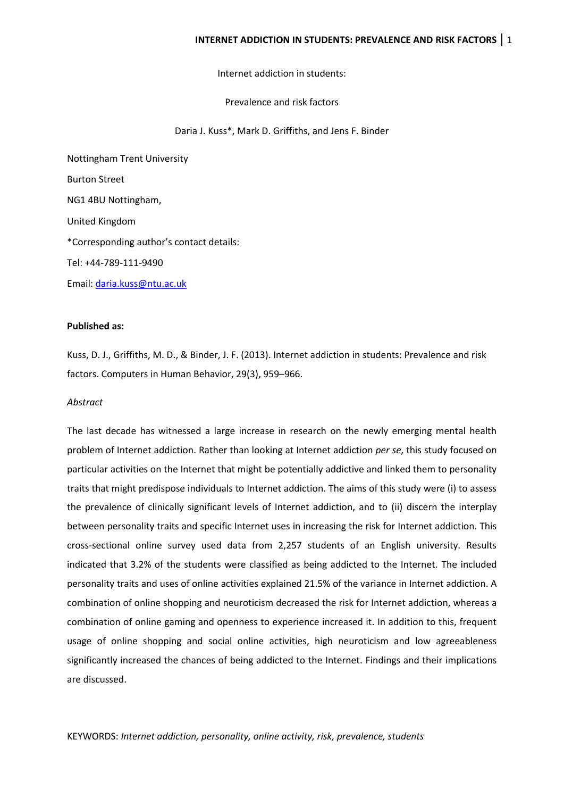## Internet addiction in students:

Prevalence and risk factors

Daria J. Kuss\*, Mark D. Griffiths, and Jens F. Binder

Nottingham Trent University Burton Street NG1 4BU Nottingham, United Kingdom \*Corresponding author's contact details: Tel: +44-789-111-9490 Email: [daria.kuss@ntu.ac.uk](mailto:daria.kuss@ntu.ac.uk)

# **Published as:**

Kuss, D. J., Griffiths, M. D., & Binder, J. F. (2013). Internet addiction in students: Prevalence and risk factors. Computers in Human Behavior, 29(3), 959–966.

## *Abstract*

The last decade has witnessed a large increase in research on the newly emerging mental health problem of Internet addiction. Rather than looking at Internet addiction *per se*, this study focused on particular activities on the Internet that might be potentially addictive and linked them to personality traits that might predispose individuals to Internet addiction. The aims of this study were (i) to assess the prevalence of clinically significant levels of Internet addiction, and to (ii) discern the interplay between personality traits and specific Internet uses in increasing the risk for Internet addiction. This cross-sectional online survey used data from 2,257 students of an English university. Results indicated that 3.2% of the students were classified as being addicted to the Internet. The included personality traits and uses of online activities explained 21.5% of the variance in Internet addiction. A combination of online shopping and neuroticism decreased the risk for Internet addiction, whereas a combination of online gaming and openness to experience increased it. In addition to this, frequent usage of online shopping and social online activities, high neuroticism and low agreeableness significantly increased the chances of being addicted to the Internet. Findings and their implications are discussed.

KEYWORDS: *Internet addiction, personality, online activity, risk, prevalence, students*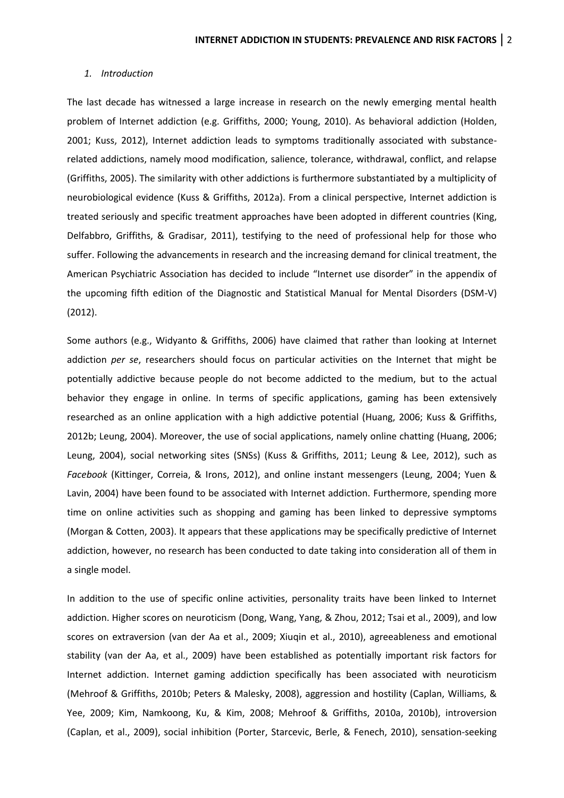### *1. Introduction*

The last decade has witnessed a large increase in research on the newly emerging mental health problem of Internet addiction (e.g. [Griffiths, 2000;](#page-16-0) [Young, 2010\)](#page-18-0). As behavioral addiction [\(Holden,](#page-16-1)  [2001;](#page-16-1) [Kuss, 2012\)](#page-16-2), Internet addiction leads to symptoms traditionally associated with substancerelated addictions, namely mood modification, salience, tolerance, withdrawal, conflict, and relapse [\(Griffiths, 2005\)](#page-16-3). The similarity with other addictions is furthermore substantiated by a multiplicity of neurobiological evidence [\(Kuss & Griffiths, 2012a\)](#page-16-4). From a clinical perspective, Internet addiction is treated seriously and specific treatment approaches have been adopted in different countries [\(King,](#page-16-5)  [Delfabbro, Griffiths, & Gradisar, 2011\)](#page-16-5), testifying to the need of professional help for those who suffer. Following the advancements in research and the increasing demand for clinical treatment, the American Psychiatric Association has decided to include "Internet use disorder" in the appendix of the upcoming fifth edition of the Diagnostic and Statistical Manual for Mental Disorders (DSM-V) [\(2012\)](#page-15-0).

Some authors (e.g., Widyanto & Griffiths, 2006) have claimed that rather than looking at Internet addiction *per se*, researchers should focus on particular activities on the Internet that might be potentially addictive because people do not become addicted to the medium, but to the actual behavior they engage in online. In terms of specific applications, gaming has been extensively researched as an online application with a high addictive potential [\(Huang, 2006;](#page-16-6) [Kuss & Griffiths,](#page-16-7)  [2012b;](#page-16-7) [Leung, 2004\)](#page-17-0). Moreover, the use of social applications, namely online chatting [\(Huang, 2006;](#page-16-6) [Leung, 2004\)](#page-17-0), social networking sites (SNSs) [\(Kuss & Griffiths, 2011;](#page-16-8) [Leung & Lee, 2012\)](#page-17-1), such as *Facebook* [\(Kittinger, Correia, & Irons, 2012\)](#page-16-9), and online instant messengers [\(Leung, 2004;](#page-17-0) [Yuen &](#page-18-1)  [Lavin, 2004\)](#page-18-1) have been found to be associated with Internet addiction. Furthermore, spending more time on online activities such as shopping and gaming has been linked to depressive symptoms [\(Morgan & Cotten, 2003\)](#page-17-2). It appears that these applications may be specifically predictive of Internet addiction, however, no research has been conducted to date taking into consideration all of them in a single model.

In addition to the use of specific online activities, personality traits have been linked to Internet addiction. Higher scores on neuroticism [\(Dong, Wang, Yang, & Zhou, 2012;](#page-15-1) [Tsai et al., 2009\)](#page-18-2), and low scores on extraversion [\(van der Aa et al., 2009;](#page-18-3) [Xiuqin et al., 2010\)](#page-18-4), agreeableness and emotional stability [\(van der Aa, et al., 2009\)](#page-18-3) have been established as potentially important risk factors for Internet addiction. Internet gaming addiction specifically has been associated with neuroticism [\(Mehroof & Griffiths, 2010b;](#page-17-3) [Peters & Malesky, 2008\)](#page-17-4), aggression and hostility [\(Caplan, Williams, &](#page-15-2)  [Yee, 2009;](#page-15-2) [Kim, Namkoong, Ku, & Kim, 2008;](#page-16-10) [Mehroof & Griffiths, 2010a,](#page-17-5) [2010b\)](#page-17-3), introversion [\(Caplan, et al., 2009\)](#page-15-2), social inhibition [\(Porter, Starcevic, Berle, & Fenech, 2010\)](#page-17-6), sensation-seeking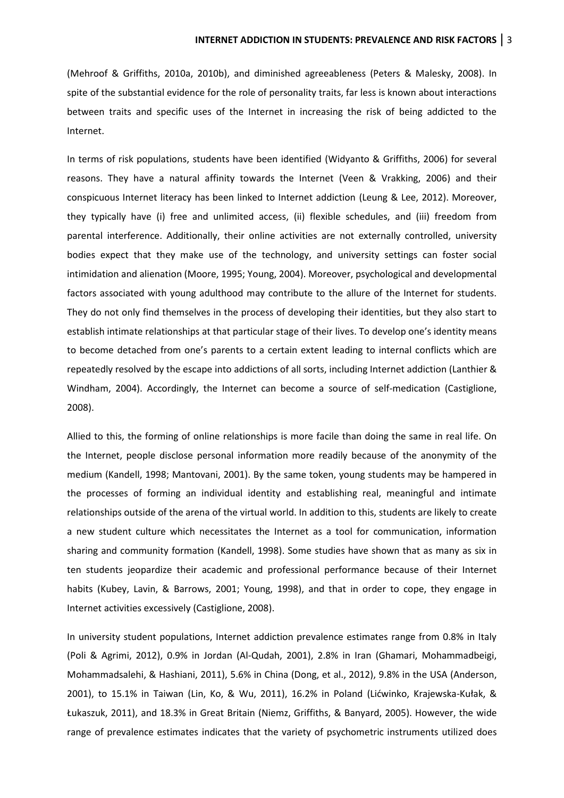[\(Mehroof & Griffiths, 2010a,](#page-17-5) [2010b\)](#page-17-3), and diminished agreeableness [\(Peters & Malesky, 2008\)](#page-17-4). In spite of the substantial evidence for the role of personality traits, far less is known about interactions between traits and specific uses of the Internet in increasing the risk of being addicted to the Internet.

In terms of risk populations, students have been identified [\(Widyanto & Griffiths, 2006\)](#page-18-5) for several reasons. They have a natural affinity towards the Internet [\(Veen & Vrakking, 2006\)](#page-18-6) and their conspicuous Internet literacy has been linked to Internet addiction [\(Leung & Lee, 2012\)](#page-17-1). Moreover, they typically have (i) free and unlimited access, (ii) flexible schedules, and (iii) freedom from parental interference. Additionally, their online activities are not externally controlled, university bodies expect that they make use of the technology, and university settings can foster social intimidation and alienation [\(Moore, 1995;](#page-17-7) [Young, 2004\)](#page-18-7). Moreover, psychological and developmental factors associated with young adulthood may contribute to the allure of the Internet for students. They do not only find themselves in the process of developing their identities, but they also start to establish intimate relationships at that particular stage of their lives. To develop one's identity means to become detached from one's parents to a certain extent leading to internal conflicts which are repeatedly resolved by the escape into addictions of all sorts, including Internet addiction [\(Lanthier &](#page-16-11)  [Windham, 2004\)](#page-16-11). Accordingly, the Internet can become a source of self-medication [\(Castiglione,](#page-15-3)  [2008\)](#page-15-3).

Allied to this, the forming of online relationships is more facile than doing the same in real life. On the Internet, people disclose personal information more readily because of the anonymity of the medium [\(Kandell, 1998;](#page-16-12) [Mantovani, 2001\)](#page-17-8). By the same token, young students may be hampered in the processes of forming an individual identity and establishing real, meaningful and intimate relationships outside of the arena of the virtual world. In addition to this, students are likely to create a new student culture which necessitates the Internet as a tool for communication, information sharing and community formation [\(Kandell, 1998\)](#page-16-12). Some studies have shown that as many as six in ten students jeopardize their academic and professional performance because of their Internet habits [\(Kubey, Lavin, & Barrows, 2001;](#page-16-13) [Young, 1998\)](#page-18-8), and that in order to cope, they engage in Internet activities excessively [\(Castiglione, 2008\)](#page-15-3).

In university student populations, Internet addiction prevalence estimates range from 0.8% in Italy [\(Poli & Agrimi, 2012\)](#page-17-9), 0.9% in Jordan [\(Al-Qudah, 2001\)](#page-15-4), 2.8% in Iran [\(Ghamari, Mohammadbeigi,](#page-16-14)  [Mohammadsalehi, & Hashiani, 2011\)](#page-16-14), 5.6% in China [\(Dong, et al., 2012\)](#page-15-1), 9.8% in the USA [\(Anderson,](#page-15-5)  [2001\)](#page-15-5), to 15.1% in Taiwan [\(Lin, Ko, & Wu, 2011\)](#page-17-10), 16.2% in Poland ([Lidwinko, Krajewska](#page-17-11)-Kułak, & [Łukaszuk, 2011](#page-17-11)), and 18.3% in Great Britain [\(Niemz, Griffiths, & Banyard, 2005\)](#page-17-12). However, the wide range of prevalence estimates indicates that the variety of psychometric instruments utilized does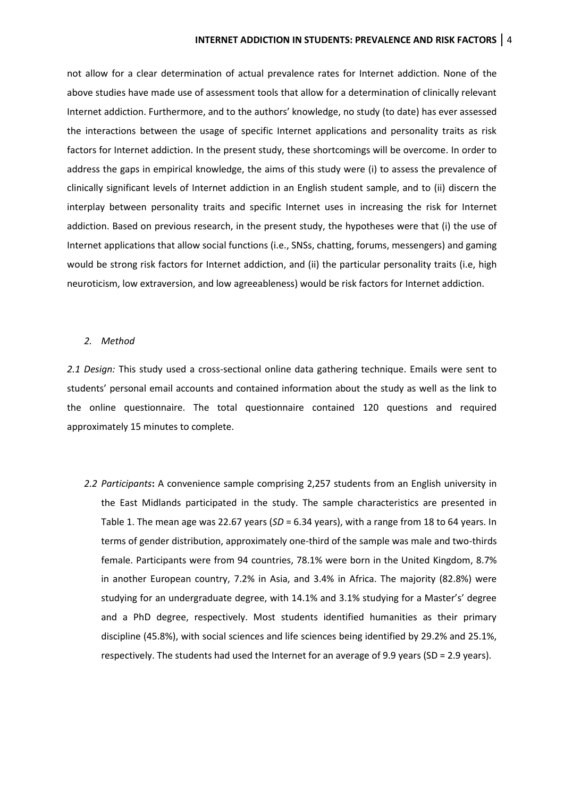not allow for a clear determination of actual prevalence rates for Internet addiction. None of the above studies have made use of assessment tools that allow for a determination of clinically relevant Internet addiction. Furthermore, and to the authors' knowledge, no study (to date) has ever assessed the interactions between the usage of specific Internet applications and personality traits as risk factors for Internet addiction. In the present study, these shortcomings will be overcome. In order to address the gaps in empirical knowledge, the aims of this study were (i) to assess the prevalence of clinically significant levels of Internet addiction in an English student sample, and to (ii) discern the interplay between personality traits and specific Internet uses in increasing the risk for Internet addiction. Based on previous research, in the present study, the hypotheses were that (i) the use of Internet applications that allow social functions (i.e., SNSs, chatting, forums, messengers) and gaming would be strong risk factors for Internet addiction, and (ii) the particular personality traits (i.e, high neuroticism, low extraversion, and low agreeableness) would be risk factors for Internet addiction.

### *2. Method*

*2.1 Design:* This study used a cross-sectional online data gathering technique. Emails were sent to students' personal email accounts and contained information about the study as well as the link to the online questionnaire. The total questionnaire contained 120 questions and required approximately 15 minutes to complete.

*2.2 Participants***:** A convenience sample comprising 2,257 students from an English university in the East Midlands participated in the study. The sample characteristics are presented in Table 1. The mean age was 22.67 years (*SD* = 6.34 years), with a range from 18 to 64 years. In terms of gender distribution, approximately one-third of the sample was male and two-thirds female. Participants were from 94 countries, 78.1% were born in the United Kingdom, 8.7% in another European country, 7.2% in Asia, and 3.4% in Africa. The majority (82.8%) were studying for an undergraduate degree, with 14.1% and 3.1% studying for a Master's' degree and a PhD degree, respectively. Most students identified humanities as their primary discipline (45.8%), with social sciences and life sciences being identified by 29.2% and 25.1%, respectively. The students had used the Internet for an average of 9.9 years (SD = 2.9 years).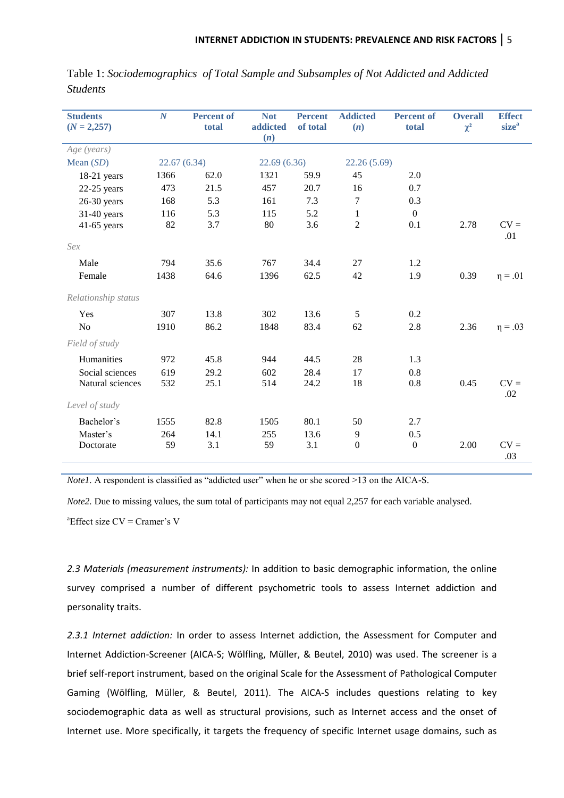| <b>Students</b><br>$(N = 2,257)$ | $\boldsymbol{N}$ | <b>Percent of</b><br>total | <b>Not</b><br>addicted<br>(n) | <b>Percent</b><br>of total | <b>Addicted</b><br>(n) | <b>Percent of</b><br>total | <b>Overall</b><br>$\chi^2$ | <b>Effect</b><br>size <sup>a</sup> |
|----------------------------------|------------------|----------------------------|-------------------------------|----------------------------|------------------------|----------------------------|----------------------------|------------------------------------|
| Age (years)                      |                  |                            |                               |                            |                        |                            |                            |                                    |
| Mean $(SD)$                      | 22.67(6.34)      |                            | 22.69(6.36)                   |                            | 22.26 (5.69)           |                            |                            |                                    |
| $18-21$ years                    | 1366             | 62.0                       | 1321                          | 59.9                       | 45                     | 2.0                        |                            |                                    |
| $22-25$ years                    | 473              | 21.5                       | 457                           | 20.7                       | 16                     | 0.7                        |                            |                                    |
| $26-30$ years                    | 168              | 5.3                        | 161                           | 7.3                        | 7                      | 0.3                        |                            |                                    |
| $31-40$ years                    | 116              | 5.3                        | 115                           | 5.2                        | $\mathbf{1}$           | $\mathbf{0}$               |                            |                                    |
| $41-65$ years                    | 82               | 3.7                        | 80                            | 3.6                        | $\overline{2}$         | 0.1                        | 2.78                       | $CV =$<br>.01                      |
| Sex                              |                  |                            |                               |                            |                        |                            |                            |                                    |
| Male                             | 794              | 35.6                       | 767                           | 34.4                       | 27                     | 1.2                        |                            |                                    |
| Female                           | 1438             | 64.6                       | 1396                          | 62.5                       | 42                     | 1.9                        | 0.39                       | $\eta = .01$                       |
| Relationship status              |                  |                            |                               |                            |                        |                            |                            |                                    |
| Yes                              | 307              | 13.8                       | 302                           | 13.6                       | 5                      | 0.2                        |                            |                                    |
| No                               | 1910             | 86.2                       | 1848                          | 83.4                       | 62                     | 2.8                        | 2.36                       | $\eta = .03$                       |
| Field of study                   |                  |                            |                               |                            |                        |                            |                            |                                    |
| Humanities                       | 972              | 45.8                       | 944                           | 44.5                       | 28                     | 1.3                        |                            |                                    |
| Social sciences                  | 619              | 29.2                       | 602                           | 28.4                       | 17                     | 0.8                        |                            |                                    |
| Natural sciences                 | 532              | 25.1                       | 514                           | 24.2                       | 18                     | 0.8                        | 0.45                       | $CV =$<br>.02                      |
| Level of study                   |                  |                            |                               |                            |                        |                            |                            |                                    |
| Bachelor's                       | 1555             | 82.8                       | 1505                          | 80.1                       | 50                     | 2.7                        |                            |                                    |
| Master's                         | 264              | 14.1                       | 255                           | 13.6                       | 9                      | 0.5                        |                            |                                    |
| Doctorate                        | 59               | 3.1                        | 59                            | 3.1                        | $\boldsymbol{0}$       | $\boldsymbol{0}$           | 2.00                       | $CV =$<br>.03                      |

Table 1: *Sociodemographics of Total Sample and Subsamples of Not Addicted and Addicted Students*

*Note1*. A respondent is classified as "addicted user" when he or she scored >13 on the AICA-S.

*Note2*. Due to missing values, the sum total of participants may not equal 2,257 for each variable analysed. <sup>a</sup>Effect size  $CV = Cramer's V$ 

*2.3 Materials (measurement instruments):* In addition to basic demographic information, the online survey comprised a number of different psychometric tools to assess Internet addiction and personality traits.

*2.3.1 Internet addiction:* In order to assess Internet addiction, the Assessment for Computer and Internet Addiction-Screener [\(AICA-S; Wölfling, Müller, & Beutel, 2010\)](#page-18-9) was used. The screener is a brief self-report instrument, based on the original Scale for the Assessment of Pathological Computer Gaming [\(Wölfling, Müller, & Beutel, 2011\)](#page-18-10). The AICA-S includes questions relating to key sociodemographic data as well as structural provisions, such as Internet access and the onset of Internet use. More specifically, it targets the frequency of specific Internet usage domains, such as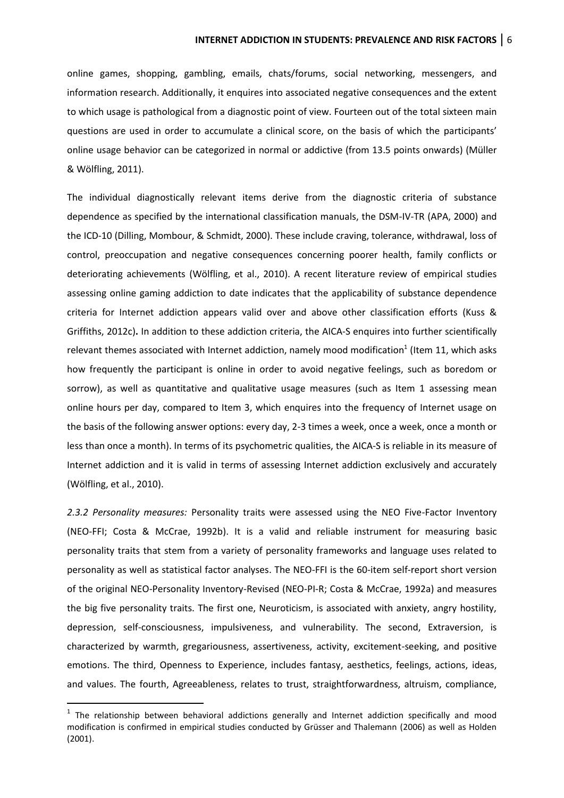online games, shopping, gambling, emails, chats/forums, social networking, messengers, and information research. Additionally, it enquires into associated negative consequences and the extent to which usage is pathological from a diagnostic point of view. Fourteen out of the total sixteen main questions are used in order to accumulate a clinical score, on the basis of which the participants' online usage behavior can be categorized in normal or addictive (from 13.5 points onwards) [\(Müller](#page-17-13)  [& Wölfling, 2011\)](#page-17-13).

The individual diagnostically relevant items derive from the diagnostic criteria of substance dependence as specified by the international classification manuals, the DSM-IV-TR (APA, 2000) and the ICD-10 (Dilling, Mombour, & Schmidt, 2000). These include craving, tolerance, withdrawal, loss of control, preoccupation and negative consequences concerning poorer health, family conflicts or deteriorating achievements [\(Wölfling, et al., 2010\)](#page-18-9). A recent literature review of empirical studies assessing online gaming addiction to date indicates that the applicability of substance dependence criteria for Internet addiction appears valid over and above other classification efforts [\(Kuss &](#page-16-15)  [Griffiths, 2012c\)](#page-16-15)**.** In addition to these addiction criteria, the AICA-S enquires into further scientifically relevant themes associated with Internet addiction, namely mood modification<sup>1</sup> (Item 11, which asks how frequently the participant is online in order to avoid negative feelings, such as boredom or sorrow), as well as quantitative and qualitative usage measures (such as Item 1 assessing mean online hours per day, compared to Item 3, which enquires into the frequency of Internet usage on the basis of the following answer options: every day, 2-3 times a week, once a week, once a month or less than once a month). In terms of its psychometric qualities, the AICA-S is reliable in its measure of Internet addiction and it is valid in terms of assessing Internet addiction exclusively and accurately [\(Wölfling, et al., 2010\)](#page-18-9).

*2.3.2 Personality measures:* Personality traits were assessed using the NEO Five-Factor Inventory [\(NEO-FFI; Costa & McCrae, 1992b\)](#page-15-6). It is a valid and reliable instrument for measuring basic personality traits that stem from a variety of personality frameworks and language uses related to personality as well as statistical factor analyses. The NEO-FFI is the 60-item self-report short version of the original NEO-Personality Inventory-Revised [\(NEO-PI-R; Costa & McCrae, 1992a\)](#page-15-7) and measures the big five personality traits. The first one, Neuroticism, is associated with anxiety, angry hostility, depression, self-consciousness, impulsiveness, and vulnerability. The second, Extraversion, is characterized by warmth, gregariousness, assertiveness, activity, excitement-seeking, and positive emotions. The third, Openness to Experience, includes fantasy, aesthetics, feelings, actions, ideas, and values. The fourth, Agreeableness, relates to trust, straightforwardness, altruism, compliance,

1

 $1$  The relationship between behavioral addictions generally and Internet addiction specifically and mood modification is confirmed in empirical studies conducted by Grüsser and Thalemann [\(2006\)](#page-16-16) as well as Holden [\(2001\)](#page-16-1).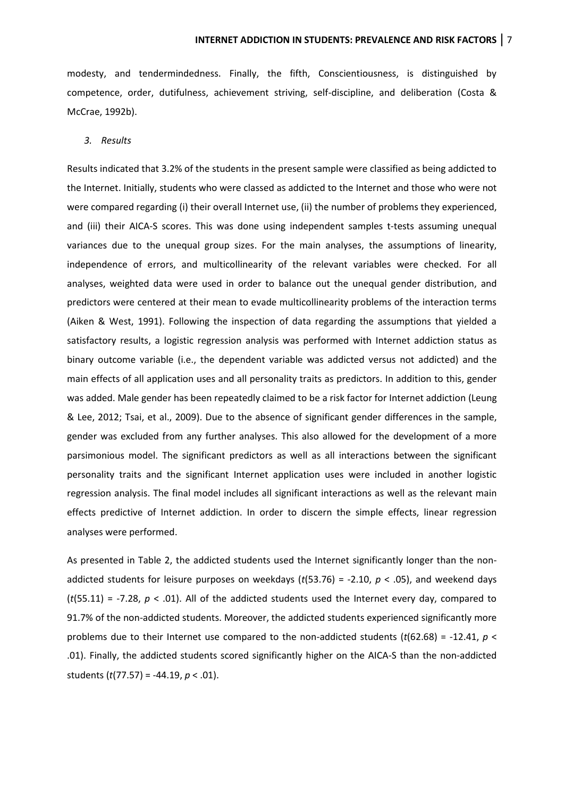modesty, and tendermindedness. Finally, the fifth, Conscientiousness, is distinguished by competence, order, dutifulness, achievement striving, self-discipline, and deliberation [\(Costa &](#page-15-6)  [McCrae, 1992b\)](#page-15-6).

#### *3. Results*

Results indicated that 3.2% of the students in the present sample were classified as being addicted to the Internet. Initially, students who were classed as addicted to the Internet and those who were not were compared regarding (i) their overall Internet use, (ii) the number of problems they experienced, and (iii) their AICA-S scores. This was done using independent samples t-tests assuming unequal variances due to the unequal group sizes. For the main analyses, the assumptions of linearity, independence of errors, and multicollinearity of the relevant variables were checked. For all analyses, weighted data were used in order to balance out the unequal gender distribution, and predictors were centered at their mean to evade multicollinearity problems of the interaction terms [\(Aiken & West, 1991\)](#page-15-8). Following the inspection of data regarding the assumptions that yielded a satisfactory results, a logistic regression analysis was performed with Internet addiction status as binary outcome variable (i.e., the dependent variable was addicted versus not addicted) and the main effects of all application uses and all personality traits as predictors. In addition to this, gender was added. Male gender has been repeatedly claimed to be a risk factor for Internet addiction [\(Leung](#page-17-1)  [& Lee, 2012;](#page-17-1) [Tsai, et al., 2009\)](#page-18-2). Due to the absence of significant gender differences in the sample, gender was excluded from any further analyses. This also allowed for the development of a more parsimonious model. The significant predictors as well as all interactions between the significant personality traits and the significant Internet application uses were included in another logistic regression analysis. The final model includes all significant interactions as well as the relevant main effects predictive of Internet addiction. In order to discern the simple effects, linear regression analyses were performed.

As presented in Table 2, the addicted students used the Internet significantly longer than the nonaddicted students for leisure purposes on weekdays (*t*(53.76) = -2.10, *p* < .05), and weekend days  $(t(55.11) = -7.28, p < .01)$ . All of the addicted students used the Internet every day, compared to 91.7% of the non-addicted students. Moreover, the addicted students experienced significantly more problems due to their Internet use compared to the non-addicted students (*t*(62.68) = -12.41, *p* < .01). Finally, the addicted students scored significantly higher on the AICA-S than the non-addicted students (*t*(77.57) = -44.19, *p* < .01).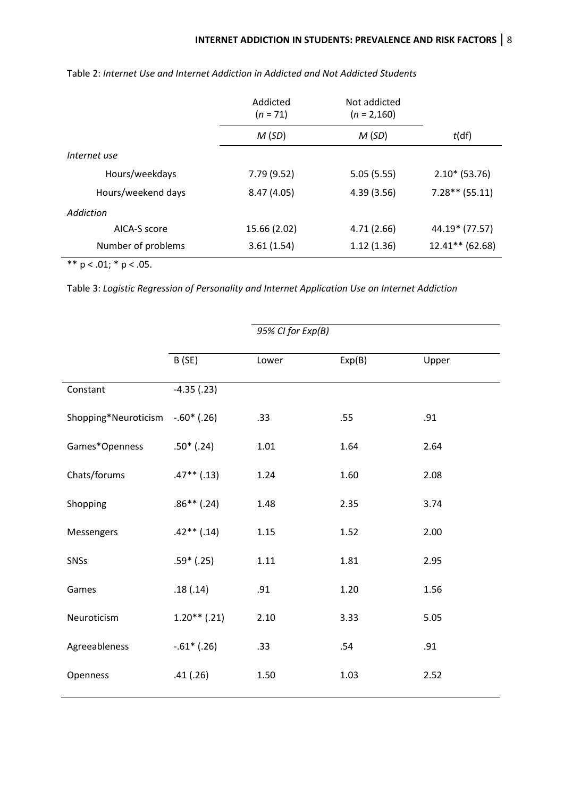|                    | Addicted<br>$(n = 71)$ | Not addicted<br>$(n = 2,160)$ |                   |
|--------------------|------------------------|-------------------------------|-------------------|
|                    | M(SD)                  | M(SD)                         | t(df)             |
| Internet use       |                        |                               |                   |
| Hours/weekdays     | 7.79 (9.52)            | 5.05(5.55)                    | $2.10*(53.76)$    |
| Hours/weekend days | 8.47(4.05)             | 4.39(3.56)                    | $7.28**$ (55.11)  |
| Addiction          |                        |                               |                   |
| AICA-S score       | 15.66 (2.02)           | 4.71(2.66)                    | 44.19 * (77.57)   |
| Number of problems | 3.61(1.54)             | 1.12(1.36)                    | $12.41**$ (62.68) |

Table 2: *Internet Use and Internet Addiction in Addicted and Not Addicted Students*

\*\*  $p < .01; * p < .05$ .

Table 3: *Logistic Regression of Personality and Internet Application Use on Internet Addiction*

|                                  |                         | 95% CI for Exp(B) |              |              |
|----------------------------------|-------------------------|-------------------|--------------|--------------|
|                                  | B (SE)                  | Lower             | Exp(B)       | Upper        |
| Constant                         | $-4.35(0.23)$           |                   |              |              |
| Shopping*Neuroticism -.60* (.26) |                         | .33               | .55          | .91          |
| Games*Openness                   | $.50*(.24)$             | 1.01              | 1.64         | 2.64         |
| Chats/forums                     | $.47**(.13)$            | 1.24              | 1.60         | 2.08         |
| Shopping                         | $.86***(.24)$           | 1.48              | 2.35         | 3.74         |
| Messengers                       | $.42**(.14)$            | 1.15              | 1.52         | 2.00         |
| SNSs<br>Games                    | $.59*(.25)$<br>.18(.14) | $1.11\,$<br>.91   | 1.81<br>1.20 | 2.95<br>1.56 |
| Neuroticism                      | $1.20**$ (.21)          | 2.10              | 3.33         | 5.05         |
| Agreeableness                    | $-.61*$ (.26)           | .33               | .54          | .91          |
| Openness                         | .41(.26)                | 1.50              | 1.03         | 2.52         |
|                                  |                         |                   |              |              |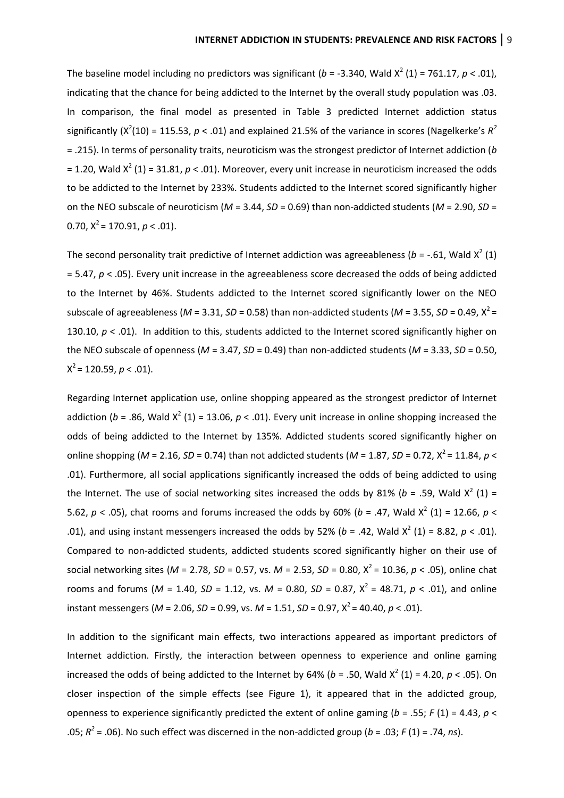The baseline model including no predictors was significant ( $b$  = -3.340, Wald X<sup>2</sup> (1) = 761.17,  $p$  < .01), indicating that the chance for being addicted to the Internet by the overall study population was .03. In comparison, the final model as presented in Table 3 predicted Internet addiction status significantly (X<sup>2</sup>(10) = 115.53,  $p < .01$ ) and explained 21.5% of the variance in scores (Nagelkerke's  $R^2$ = .215). In terms of personality traits, neuroticism was the strongest predictor of Internet addiction (*b* = 1.20, Wald  $X^2$  (1) = 31.81,  $p < .01$ ). Moreover, every unit increase in neuroticism increased the odds to be addicted to the Internet by 233%. Students addicted to the Internet scored significantly higher on the NEO subscale of neuroticism (*M* = 3.44, *SD* = 0.69) than non-addicted students (*M* = 2.90, *SD* = 0.70, Χ 2 = 170.91, *p* < .01).

The second personality trait predictive of Internet addiction was agreeableness ( $b$  = -.61, Wald X<sup>2</sup> (1) = 5.47, *p* < .05). Every unit increase in the agreeableness score decreased the odds of being addicted to the Internet by 46%. Students addicted to the Internet scored significantly lower on the NEO subscale of agreeableness ( $M = 3.31$ ,  $SD = 0.58$ ) than non-addicted students ( $M = 3.55$ ,  $SD = 0.49$ ,  $X^2 =$ 130.10,  $p < .01$ ). In addition to this, students addicted to the Internet scored significantly higher on the NEO subscale of openness ( $M = 3.47$ ,  $SD = 0.49$ ) than non-addicted students ( $M = 3.33$ ,  $SD = 0.50$ ,  $X^2$  = 120.59,  $p < .01$ ).

Regarding Internet application use, online shopping appeared as the strongest predictor of Internet addiction ( $b = .86$ , Wald  $X^2$  (1) = 13.06,  $p < .01$ ). Every unit increase in online shopping increased the odds of being addicted to the Internet by 135%. Addicted students scored significantly higher on online shopping (*M* = 2.16, *SD* = 0.74) than not addicted students (*M* = 1.87, *SD* = 0.72,  $X^2$  = 11.84, *p* < .01). Furthermore, all social applications significantly increased the odds of being addicted to using the Internet. The use of social networking sites increased the odds by 81% ( $b$  = .59, Wald X<sup>2</sup> (1) = 5.62,  $p < .05$ ), chat rooms and forums increased the odds by 60% ( $b = .47$ , Wald X<sup>2</sup> (1) = 12.66,  $p <$ .01), and using instant messengers increased the odds by 52% ( $b = .42$ , Wald X<sup>2</sup> (1) = 8.82,  $p < .01$ ). Compared to non-addicted students, addicted students scored significantly higher on their use of social networking sites (*M* = 2.78, *SD* = 0.57, vs. *M* = 2.53, *SD* = 0.80, Χ 2 = 10.36, *p* < .05), online chat rooms and forums ( $M = 1.40$ ,  $SD = 1.12$ , vs.  $M = 0.80$ ,  $SD = 0.87$ ,  $X^2 = 48.71$ ,  $p < .01$ ), and online instant messengers (*M* = 2.06, *SD* = 0.99, vs. *M* = 1.51, *SD* = 0.97,  $X^2$  = 40.40, *p* < .01).

In addition to the significant main effects, two interactions appeared as important predictors of Internet addiction. Firstly, the interaction between openness to experience and online gaming increased the odds of being addicted to the Internet by 64% ( $b$  = .50, Wald  $X^2$  (1) = 4.20,  $p$  < .05). On closer inspection of the simple effects (see Figure 1), it appeared that in the addicted group, openness to experience significantly predicted the extent of online gaming ( $b = .55$ ;  $F(1) = 4.43$ ,  $p <$ .05;  $R^2$  = .06). No such effect was discerned in the non-addicted group ( $b$  = .03;  $F(1)$  = .74, *ns*).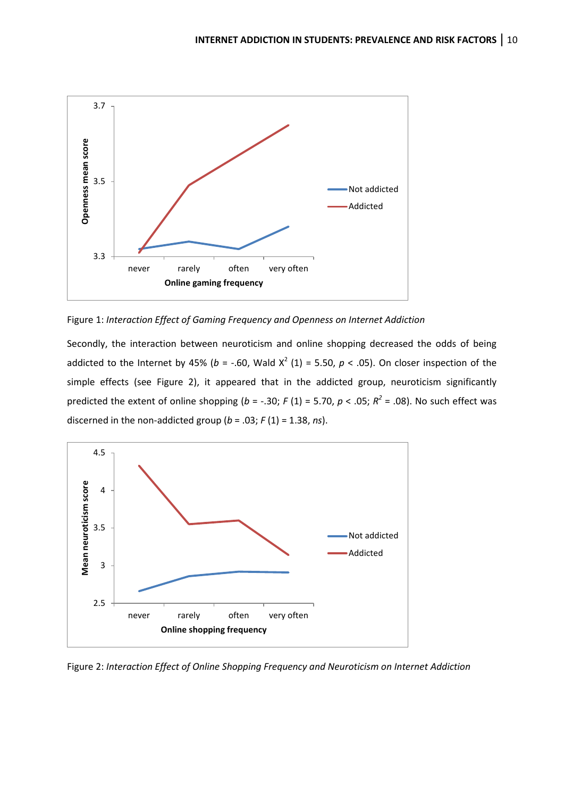

Figure 1: *Interaction Effect of Gaming Frequency and Openness on Internet Addiction*

Secondly, the interaction between neuroticism and online shopping decreased the odds of being addicted to the Internet by 45% ( $b = -.60$ , Wald  $X^2$  (1) = 5.50,  $p < .05$ ). On closer inspection of the simple effects (see Figure 2), it appeared that in the addicted group, neuroticism significantly predicted the extent of online shopping ( $b = -.30$ ;  $F(1) = 5.70$ ,  $p < .05$ ;  $R^2 = .08$ ). No such effect was discerned in the non-addicted group ( $b = .03$ ;  $F(1) = 1.38$ ,  $ns$ ).



Figure 2: *Interaction Effect of Online Shopping Frequency and Neuroticism on Internet Addiction*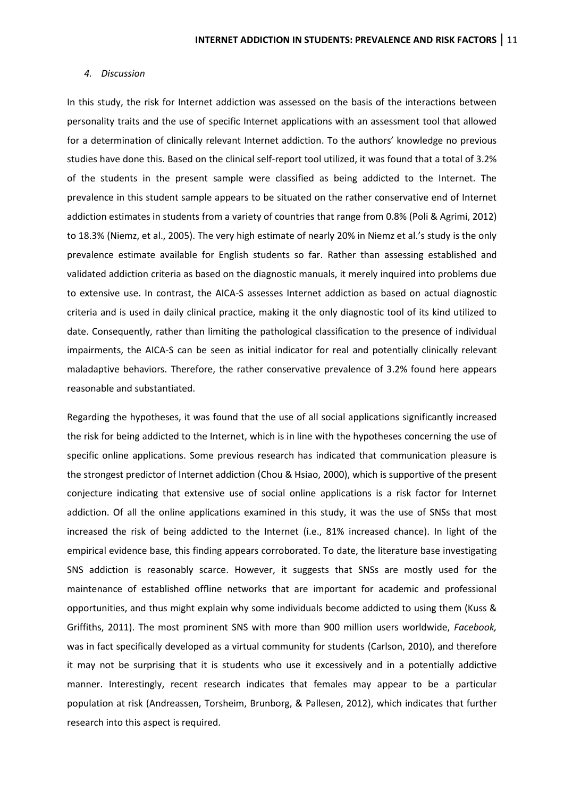#### *4. Discussion*

In this study, the risk for Internet addiction was assessed on the basis of the interactions between personality traits and the use of specific Internet applications with an assessment tool that allowed for a determination of clinically relevant Internet addiction. To the authors' knowledge no previous studies have done this. Based on the clinical self-report tool utilized, it was found that a total of 3.2% of the students in the present sample were classified as being addicted to the Internet. The prevalence in this student sample appears to be situated on the rather conservative end of Internet addiction estimates in students from a variety of countries that range from 0.8% [\(Poli & Agrimi, 2012\)](#page-17-9) to 18.3% [\(Niemz, et al., 2005\)](#page-17-12). The very high estimate of nearly 20% in Niemz et al.'s study is the only prevalence estimate available for English students so far. Rather than assessing established and validated addiction criteria as based on the diagnostic manuals, it merely inquired into problems due to extensive use. In contrast, the AICA-S assesses Internet addiction as based on actual diagnostic criteria and is used in daily clinical practice, making it the only diagnostic tool of its kind utilized to date. Consequently, rather than limiting the pathological classification to the presence of individual impairments, the AICA-S can be seen as initial indicator for real and potentially clinically relevant maladaptive behaviors. Therefore, the rather conservative prevalence of 3.2% found here appears reasonable and substantiated.

Regarding the hypotheses, it was found that the use of all social applications significantly increased the risk for being addicted to the Internet, which is in line with the hypotheses concerning the use of specific online applications. Some previous research has indicated that communication pleasure is the strongest predictor of Internet addiction [\(Chou & Hsiao, 2000\)](#page-15-9), which is supportive of the present conjecture indicating that extensive use of social online applications is a risk factor for Internet addiction. Of all the online applications examined in this study, it was the use of SNSs that most increased the risk of being addicted to the Internet (i.e., 81% increased chance). In light of the empirical evidence base, this finding appears corroborated. To date, the literature base investigating SNS addiction is reasonably scarce. However, it suggests that SNSs are mostly used for the maintenance of established offline networks that are important for academic and professional opportunities, and thus might explain why some individuals become addicted to using them [\(Kuss &](#page-16-8)  [Griffiths, 2011\)](#page-16-8). The most prominent SNS with more than 900 million users worldwide, *Facebook,* was in fact specifically developed as a virtual community for students [\(Carlson, 2010\)](#page-15-10), and therefore it may not be surprising that it is students who use it excessively and in a potentially addictive manner. Interestingly, recent research indicates that females may appear to be a particular population at risk [\(Andreassen, Torsheim, Brunborg, & Pallesen, 2012\)](#page-15-11), which indicates that further research into this aspect is required.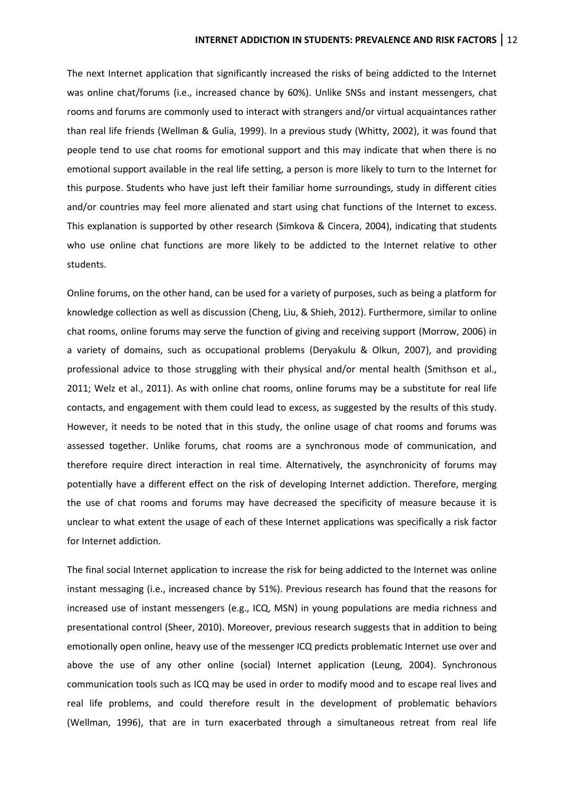The next Internet application that significantly increased the risks of being addicted to the Internet was online chat/forums (i.e., increased chance by 60%). Unlike SNSs and instant messengers, chat rooms and forums are commonly used to interact with strangers and/or virtual acquaintances rather than real life friends [\(Wellman & Gulia, 1999\)](#page-18-11). In a previous study [\(Whitty, 2002\)](#page-18-12), it was found that people tend to use chat rooms for emotional support and this may indicate that when there is no emotional support available in the real life setting, a person is more likely to turn to the Internet for this purpose. Students who have just left their familiar home surroundings, study in different cities and/or countries may feel more alienated and start using chat functions of the Internet to excess. This explanation is supported by other research [\(Simkova & Cincera, 2004\)](#page-17-14), indicating that students who use online chat functions are more likely to be addicted to the Internet relative to other students.

Online forums, on the other hand, can be used for a variety of purposes, such as being a platform for knowledge collection as well as discussion [\(Cheng, Liu, & Shieh, 2012\)](#page-15-12). Furthermore, similar to online chat rooms, online forums may serve the function of giving and receiving support [\(Morrow, 2006\)](#page-17-15) in a variety of domains, such as occupational problems [\(Deryakulu & Olkun, 2007\)](#page-15-13), and providing professional advice to those struggling with their physical and/or mental health [\(Smithson et al.,](#page-17-16)  [2011;](#page-17-16) [Welz et al., 2011\)](#page-18-13). As with online chat rooms, online forums may be a substitute for real life contacts, and engagement with them could lead to excess, as suggested by the results of this study. However, it needs to be noted that in this study, the online usage of chat rooms and forums was assessed together. Unlike forums, chat rooms are a synchronous mode of communication, and therefore require direct interaction in real time. Alternatively, the asynchronicity of forums may potentially have a different effect on the risk of developing Internet addiction. Therefore, merging the use of chat rooms and forums may have decreased the specificity of measure because it is unclear to what extent the usage of each of these Internet applications was specifically a risk factor for Internet addiction.

The final social Internet application to increase the risk for being addicted to the Internet was online instant messaging (i.e., increased chance by 51%). Previous research has found that the reasons for increased use of instant messengers (e.g., ICQ, MSN) in young populations are media richness and presentational control [\(Sheer, 2010\)](#page-17-17). Moreover, previous research suggests that in addition to being emotionally open online, heavy use of the messenger ICQ predicts problematic Internet use over and above the use of any other online (social) Internet application [\(Leung, 2004\)](#page-17-0). Synchronous communication tools such as ICQ may be used in order to modify mood and to escape real lives and real life problems, and could therefore result in the development of problematic behaviors [\(Wellman, 1996\)](#page-18-14), that are in turn exacerbated through a simultaneous retreat from real life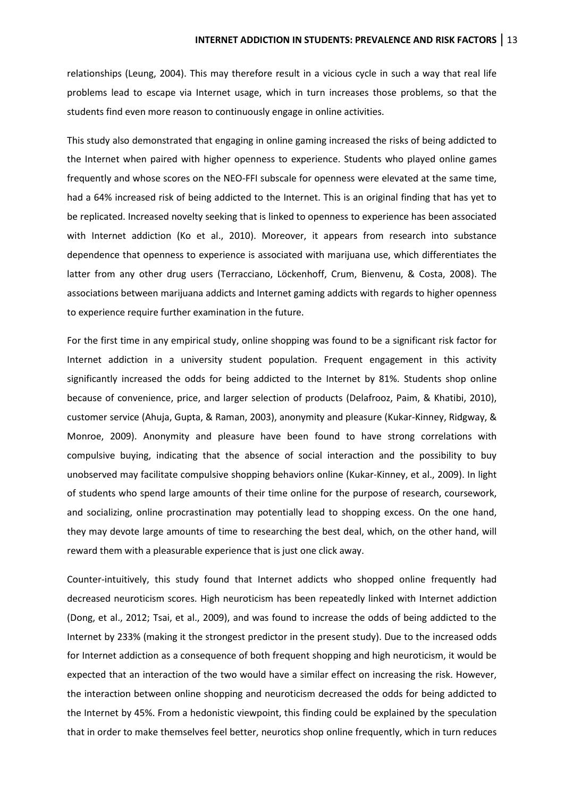relationships [\(Leung, 2004\)](#page-17-0). This may therefore result in a vicious cycle in such a way that real life problems lead to escape via Internet usage, which in turn increases those problems, so that the students find even more reason to continuously engage in online activities.

This study also demonstrated that engaging in online gaming increased the risks of being addicted to the Internet when paired with higher openness to experience. Students who played online games frequently and whose scores on the NEO-FFI subscale for openness were elevated at the same time, had a 64% increased risk of being addicted to the Internet. This is an original finding that has yet to be replicated. Increased novelty seeking that is linked to openness to experience has been associated with Internet addiction [\(Ko et al., 2010\)](#page-16-17). Moreover, it appears from research into substance dependence that openness to experience is associated with marijuana use, which differentiates the latter from any other drug users [\(Terracciano, Löckenhoff, Crum, Bienvenu, & Costa, 2008\)](#page-17-18). The associations between marijuana addicts and Internet gaming addicts with regards to higher openness to experience require further examination in the future.

For the first time in any empirical study, online shopping was found to be a significant risk factor for Internet addiction in a university student population. Frequent engagement in this activity significantly increased the odds for being addicted to the Internet by 81%. Students shop online because of convenience, price, and larger selection of products [\(Delafrooz, Paim, & Khatibi, 2010\)](#page-15-14), customer service [\(Ahuja, Gupta, & Raman, 2003\)](#page-15-15), anonymity and pleasure [\(Kukar-Kinney, Ridgway, &](#page-16-18)  [Monroe, 2009\)](#page-16-18). Anonymity and pleasure have been found to have strong correlations with compulsive buying, indicating that the absence of social interaction and the possibility to buy unobserved may facilitate compulsive shopping behaviors online [\(Kukar-Kinney, et al., 2009\)](#page-16-18). In light of students who spend large amounts of their time online for the purpose of research, coursework, and socializing, online procrastination may potentially lead to shopping excess. On the one hand, they may devote large amounts of time to researching the best deal, which, on the other hand, will reward them with a pleasurable experience that is just one click away.

Counter-intuitively, this study found that Internet addicts who shopped online frequently had decreased neuroticism scores. High neuroticism has been repeatedly linked with Internet addiction [\(Dong, et al., 2012;](#page-15-1) [Tsai, et al., 2009\)](#page-18-2), and was found to increase the odds of being addicted to the Internet by 233% (making it the strongest predictor in the present study). Due to the increased odds for Internet addiction as a consequence of both frequent shopping and high neuroticism, it would be expected that an interaction of the two would have a similar effect on increasing the risk. However, the interaction between online shopping and neuroticism decreased the odds for being addicted to the Internet by 45%. From a hedonistic viewpoint, this finding could be explained by the speculation that in order to make themselves feel better, neurotics shop online frequently, which in turn reduces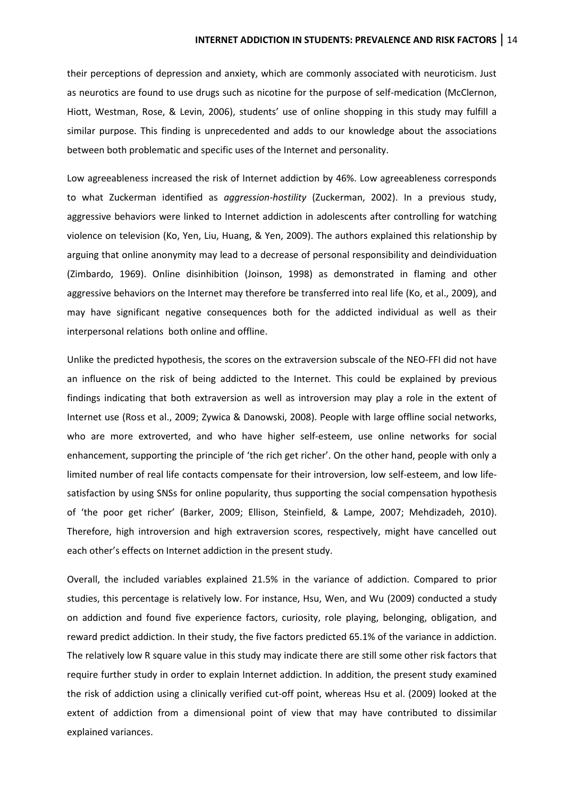their perceptions of depression and anxiety, which are commonly associated with neuroticism. Just as neurotics are found to use drugs such as nicotine for the purpose of self-medication [\(McClernon,](#page-17-19)  [Hiott, Westman, Rose, & Levin, 2006\)](#page-17-19), students' use of online shopping in this study may fulfill a similar purpose. This finding is unprecedented and adds to our knowledge about the associations between both problematic and specific uses of the Internet and personality.

Low agreeableness increased the risk of Internet addiction by 46%. Low agreeableness corresponds to what Zuckerman identified as *aggression-hostility* [\(Zuckerman, 2002\)](#page-18-15). In a previous study, aggressive behaviors were linked to Internet addiction in adolescents after controlling for watching violence on television [\(Ko, Yen, Liu, Huang, & Yen, 2009\)](#page-16-19). The authors explained this relationship by arguing that online anonymity may lead to a decrease of personal responsibility and deindividuation [\(Zimbardo, 1969\)](#page-18-16). Online disinhibition [\(Joinson, 1998\)](#page-16-20) as demonstrated in flaming and other aggressive behaviors on the Internet may therefore be transferred into real life [\(Ko, et al., 2009\)](#page-16-19), and may have significant negative consequences both for the addicted individual as well as their interpersonal relations both online and offline.

Unlike the predicted hypothesis, the scores on the extraversion subscale of the NEO-FFI did not have an influence on the risk of being addicted to the Internet. This could be explained by previous findings indicating that both extraversion as well as introversion may play a role in the extent of Internet use [\(Ross et al., 2009;](#page-17-20) [Zywica & Danowski, 2008\)](#page-18-17). People with large offline social networks, who are more extroverted, and who have higher self-esteem, use online networks for social enhancement, supporting the principle of 'the rich get richer'. On the other hand, people with only a limited number of real life contacts compensate for their introversion, low self-esteem, and low lifesatisfaction by using SNSs for online popularity, thus supporting the social compensation hypothesis of 'the poor get richer' [\(Barker, 2009;](#page-15-16) [Ellison, Steinfield, & Lampe, 2007;](#page-15-17) [Mehdizadeh, 2010\)](#page-17-21). Therefore, high introversion and high extraversion scores, respectively, might have cancelled out each other's effects on Internet addiction in the present study.

Overall, the included variables explained 21.5% in the variance of addiction. Compared to prior studies, this percentage is relatively low. For instance, Hsu, Wen, and Wu [\(2009\)](#page-16-21) conducted a study on addiction and found five experience factors, curiosity, role playing, belonging, obligation, and reward predict addiction. In their study, the five factors predicted 65.1% of the variance in addiction. The relatively low R square value in this study may indicate there are still some other risk factors that require further study in order to explain Internet addiction. In addition, the present study examined the risk of addiction using a clinically verified cut-off point, whereas Hsu et al. (2009) looked at the extent of addiction from a dimensional point of view that may have contributed to dissimilar explained variances.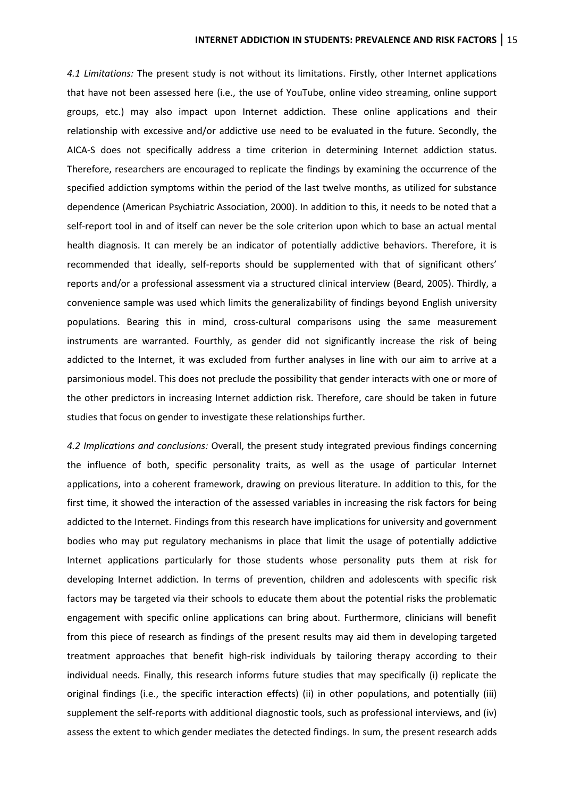*4.1 Limitations:* The present study is not without its limitations. Firstly, other Internet applications that have not been assessed here (i.e., the use of YouTube, online video streaming, online support groups, etc.) may also impact upon Internet addiction. These online applications and their relationship with excessive and/or addictive use need to be evaluated in the future. Secondly, the AICA-S does not specifically address a time criterion in determining Internet addiction status. Therefore, researchers are encouraged to replicate the findings by examining the occurrence of the specified addiction symptoms within the period of the last twelve months, as utilized for substance dependence [\(American Psychiatric Association, 2000\)](#page-15-18). In addition to this, it needs to be noted that a self-report tool in and of itself can never be the sole criterion upon which to base an actual mental health diagnosis. It can merely be an indicator of potentially addictive behaviors. Therefore, it is recommended that ideally, self-reports should be supplemented with that of significant others' reports and/or a professional assessment via a structured clinical interview [\(Beard, 2005\)](#page-15-19). Thirdly, a convenience sample was used which limits the generalizability of findings beyond English university populations. Bearing this in mind, cross-cultural comparisons using the same measurement instruments are warranted. Fourthly, as gender did not significantly increase the risk of being addicted to the Internet, it was excluded from further analyses in line with our aim to arrive at a parsimonious model. This does not preclude the possibility that gender interacts with one or more of the other predictors in increasing Internet addiction risk. Therefore, care should be taken in future studies that focus on gender to investigate these relationships further.

*4.2 Implications and conclusions:* Overall, the present study integrated previous findings concerning the influence of both, specific personality traits, as well as the usage of particular Internet applications, into a coherent framework, drawing on previous literature. In addition to this, for the first time, it showed the interaction of the assessed variables in increasing the risk factors for being addicted to the Internet. Findings from this research have implications for university and government bodies who may put regulatory mechanisms in place that limit the usage of potentially addictive Internet applications particularly for those students whose personality puts them at risk for developing Internet addiction. In terms of prevention, children and adolescents with specific risk factors may be targeted via their schools to educate them about the potential risks the problematic engagement with specific online applications can bring about. Furthermore, clinicians will benefit from this piece of research as findings of the present results may aid them in developing targeted treatment approaches that benefit high-risk individuals by tailoring therapy according to their individual needs. Finally, this research informs future studies that may specifically (i) replicate the original findings (i.e., the specific interaction effects) (ii) in other populations, and potentially (iii) supplement the self-reports with additional diagnostic tools, such as professional interviews, and (iv) assess the extent to which gender mediates the detected findings. In sum, the present research adds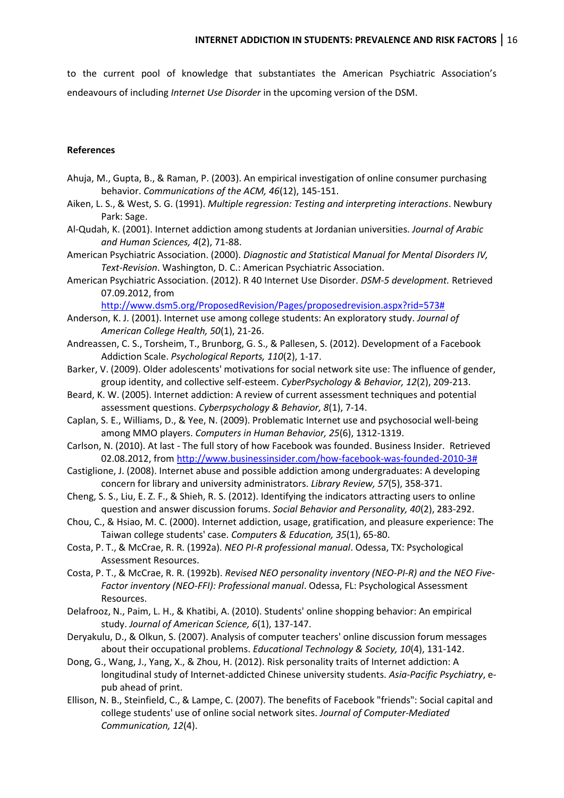to the current pool of knowledge that substantiates the American Psychiatric Association's endeavours of including *Internet Use Disorder* in the upcoming version of the DSM.

# **References**

- <span id="page-15-15"></span>Ahuja, M., Gupta, B., & Raman, P. (2003). An empirical investigation of online consumer purchasing behavior. *Communications of the ACM, 46*(12), 145-151.
- <span id="page-15-8"></span>Aiken, L. S., & West, S. G. (1991). *Multiple regression: Testing and interpreting interactions*. Newbury Park: Sage.
- <span id="page-15-4"></span>Al-Qudah, K. (2001). Internet addiction among students at Jordanian universities. *Journal of Arabic and Human Sciences, 4*(2), 71-88.
- <span id="page-15-18"></span>American Psychiatric Association. (2000). *Diagnostic and Statistical Manual for Mental Disorders IV, Text-Revision*. Washington, D. C.: American Psychiatric Association.
- <span id="page-15-0"></span>American Psychiatric Association. (2012). R 40 Internet Use Disorder. *DSM-5 development.* Retrieved 07.09.2012, from

[http://www.dsm5.org/ProposedRevision/Pages/proposedrevision.aspx?rid=573#](http://www.dsm5.org/ProposedRevision/Pages/proposedrevision.aspx?rid=573)

- <span id="page-15-5"></span>Anderson, K. J. (2001). Internet use among college students: An exploratory study. *Journal of American College Health, 50*(1), 21-26.
- <span id="page-15-11"></span>Andreassen, C. S., Torsheim, T., Brunborg, G. S., & Pallesen, S. (2012). Development of a Facebook Addiction Scale. *Psychological Reports, 110*(2), 1-17.
- <span id="page-15-16"></span>Barker, V. (2009). Older adolescents' motivations for social network site use: The influence of gender, group identity, and collective self-esteem. *CyberPsychology & Behavior, 12*(2), 209-213.
- <span id="page-15-19"></span>Beard, K. W. (2005). Internet addiction: A review of current assessment techniques and potential assessment questions. *Cyberpsychology & Behavior, 8*(1), 7-14.
- <span id="page-15-2"></span>Caplan, S. E., Williams, D., & Yee, N. (2009). Problematic Internet use and psychosocial well-being among MMO players. *Computers in Human Behavior, 25*(6), 1312-1319.
- <span id="page-15-10"></span>Carlson, N. (2010). At last - The full story of how Facebook was founded. Business Insider. Retrieved 02.08.2012, fro[m http://www.businessinsider.com/how-facebook-was-founded-2010-3#](http://www.businessinsider.com/how-facebook-was-founded-2010-3)
- <span id="page-15-3"></span>Castiglione, J. (2008). Internet abuse and possible addiction among undergraduates: A developing concern for library and university administrators. *Library Review, 57*(5), 358-371.
- <span id="page-15-12"></span>Cheng, S. S., Liu, E. Z. F., & Shieh, R. S. (2012). Identifying the indicators attracting users to online question and answer discussion forums. *Social Behavior and Personality, 40*(2), 283-292.
- <span id="page-15-9"></span>Chou, C., & Hsiao, M. C. (2000). Internet addiction, usage, gratification, and pleasure experience: The Taiwan college students' case. *Computers & Education, 35*(1), 65-80.
- <span id="page-15-7"></span>Costa, P. T., & McCrae, R. R. (1992a). *NEO PI-R professional manual*. Odessa, TX: Psychological Assessment Resources.
- <span id="page-15-6"></span>Costa, P. T., & McCrae, R. R. (1992b). *Revised NEO personality inventory (NEO-PI-R) and the NEO Five-Factor inventory (NEO-FFI): Professional manual*. Odessa, FL: Psychological Assessment Resources.
- <span id="page-15-14"></span>Delafrooz, N., Paim, L. H., & Khatibi, A. (2010). Students' online shopping behavior: An empirical study. *Journal of American Science, 6*(1), 137-147.
- <span id="page-15-13"></span>Deryakulu, D., & Olkun, S. (2007). Analysis of computer teachers' online discussion forum messages about their occupational problems. *Educational Technology & Society, 10*(4), 131-142.
- <span id="page-15-1"></span>Dong, G., Wang, J., Yang, X., & Zhou, H. (2012). Risk personality traits of Internet addiction: A longitudinal study of Internet-addicted Chinese university students. *Asia-Pacific Psychiatry*, epub ahead of print.
- <span id="page-15-17"></span>Ellison, N. B., Steinfield, C., & Lampe, C. (2007). The benefits of Facebook "friends": Social capital and college students' use of online social network sites. *Journal of Computer-Mediated Communication, 12*(4).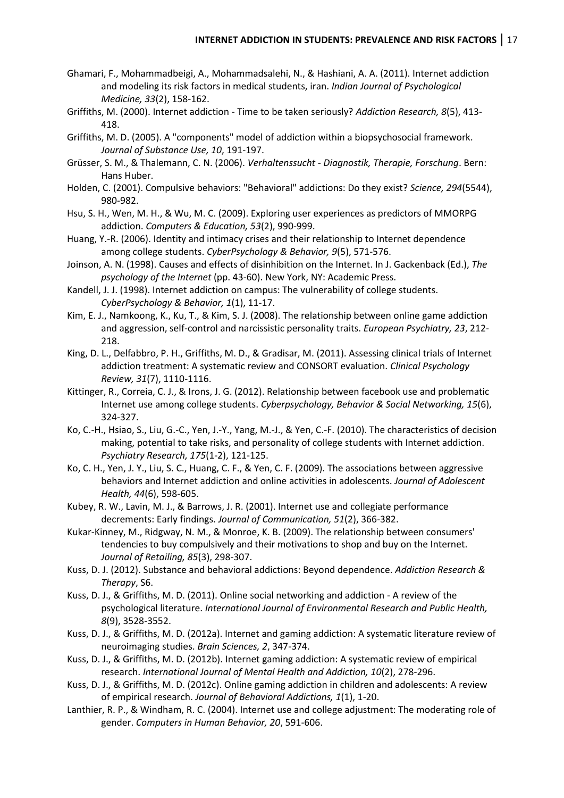- <span id="page-16-14"></span>Ghamari, F., Mohammadbeigi, A., Mohammadsalehi, N., & Hashiani, A. A. (2011). Internet addiction and modeling its risk factors in medical students, iran. *Indian Journal of Psychological Medicine, 33*(2), 158-162.
- <span id="page-16-0"></span>Griffiths, M. (2000). Internet addiction - Time to be taken seriously? *Addiction Research, 8*(5), 413- 418.
- <span id="page-16-3"></span>Griffiths, M. D. (2005). A "components" model of addiction within a biopsychosocial framework. *Journal of Substance Use, 10*, 191-197.
- <span id="page-16-16"></span>Grüsser, S. M., & Thalemann, C. N. (2006). *Verhaltenssucht - Diagnostik, Therapie, Forschung*. Bern: Hans Huber.
- <span id="page-16-1"></span>Holden, C. (2001). Compulsive behaviors: "Behavioral" addictions: Do they exist? *Science, 294*(5544), 980-982.
- <span id="page-16-21"></span>Hsu, S. H., Wen, M. H., & Wu, M. C. (2009). Exploring user experiences as predictors of MMORPG addiction. *Computers & Education, 53*(2), 990-999.
- <span id="page-16-6"></span>Huang, Y.-R. (2006). Identity and intimacy crises and their relationship to Internet dependence among college students. *CyberPsychology & Behavior, 9*(5), 571-576.
- <span id="page-16-20"></span>Joinson, A. N. (1998). Causes and effects of disinhibition on the Internet. In J. Gackenback (Ed.), *The psychology of the Internet* (pp. 43-60). New York, NY: Academic Press.
- <span id="page-16-12"></span>Kandell, J. J. (1998). Internet addiction on campus: The vulnerability of college students. *CyberPsychology & Behavior, 1*(1), 11-17.
- <span id="page-16-10"></span>Kim, E. J., Namkoong, K., Ku, T., & Kim, S. J. (2008). The relationship between online game addiction and aggression, self-control and narcissistic personality traits. *European Psychiatry, 23*, 212- 218.
- <span id="page-16-5"></span>King, D. L., Delfabbro, P. H., Griffiths, M. D., & Gradisar, M. (2011). Assessing clinical trials of Internet addiction treatment: A systematic review and CONSORT evaluation. *Clinical Psychology Review, 31*(7), 1110-1116.
- <span id="page-16-9"></span>Kittinger, R., Correia, C. J., & Irons, J. G. (2012). Relationship between facebook use and problematic Internet use among college students. *Cyberpsychology, Behavior & Social Networking, 15*(6), 324-327.
- <span id="page-16-17"></span>Ko, C.-H., Hsiao, S., Liu, G.-C., Yen, J.-Y., Yang, M.-J., & Yen, C.-F. (2010). The characteristics of decision making, potential to take risks, and personality of college students with Internet addiction. *Psychiatry Research, 175*(1-2), 121-125.
- <span id="page-16-19"></span>Ko, C. H., Yen, J. Y., Liu, S. C., Huang, C. F., & Yen, C. F. (2009). The associations between aggressive behaviors and Internet addiction and online activities in adolescents. *Journal of Adolescent Health, 44*(6), 598-605.
- <span id="page-16-13"></span>Kubey, R. W., Lavin, M. J., & Barrows, J. R. (2001). Internet use and collegiate performance decrements: Early findings. *Journal of Communication, 51*(2), 366-382.
- <span id="page-16-18"></span>Kukar-Kinney, M., Ridgway, N. M., & Monroe, K. B. (2009). The relationship between consumers' tendencies to buy compulsively and their motivations to shop and buy on the Internet. *Journal of Retailing, 85*(3), 298-307.
- <span id="page-16-2"></span>Kuss, D. J. (2012). Substance and behavioral addictions: Beyond dependence. *Addiction Research & Therapy*, S6.
- <span id="page-16-8"></span>Kuss, D. J., & Griffiths, M. D. (2011). Online social networking and addiction - A review of the psychological literature. *International Journal of Environmental Research and Public Health, 8*(9), 3528-3552.
- <span id="page-16-4"></span>Kuss, D. J., & Griffiths, M. D. (2012a). Internet and gaming addiction: A systematic literature review of neuroimaging studies. *Brain Sciences, 2*, 347-374.
- <span id="page-16-7"></span>Kuss, D. J., & Griffiths, M. D. (2012b). Internet gaming addiction: A systematic review of empirical research. *International Journal of Mental Health and Addiction, 10*(2), 278-296.
- <span id="page-16-15"></span>Kuss, D. J., & Griffiths, M. D. (2012c). Online gaming addiction in children and adolescents: A review of empirical research. *Journal of Behavioral Addictions, 1*(1), 1-20.
- <span id="page-16-11"></span>Lanthier, R. P., & Windham, R. C. (2004). Internet use and college adjustment: The moderating role of gender. *Computers in Human Behavior, 20*, 591-606.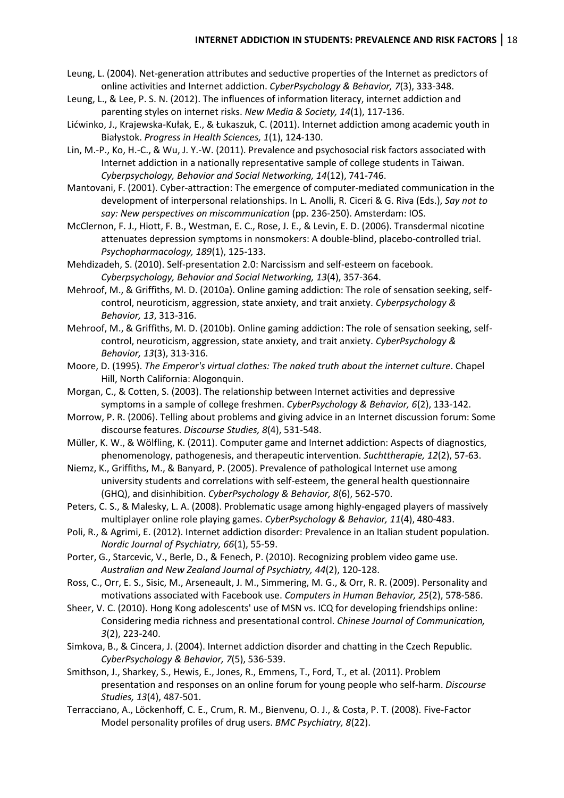- <span id="page-17-0"></span>Leung, L. (2004). Net-generation attributes and seductive properties of the Internet as predictors of online activities and Internet addiction. *CyberPsychology & Behavior, 7*(3), 333-348.
- <span id="page-17-1"></span>Leung, L., & Lee, P. S. N. (2012). The influences of information literacy, internet addiction and parenting styles on internet risks. *New Media & Society, 14*(1), 117-136.
- <span id="page-17-11"></span>Lićwinko, J., Krajewska-Kułak, E., & Łukaszuk, C. (2011). Internet addiction among academic youth in Białystok. *Progress in Health Sciences, 1*(1), 124-130.
- <span id="page-17-10"></span>Lin, M.-P., Ko, H.-C., & Wu, J. Y.-W. (2011). Prevalence and psychosocial risk factors associated with Internet addiction in a nationally representative sample of college students in Taiwan. *Cyberpsychology, Behavior and Social Networking, 14*(12), 741-746.
- <span id="page-17-8"></span>Mantovani, F. (2001). Cyber-attraction: The emergence of computer-mediated communication in the development of interpersonal relationships. In L. Anolli, R. Ciceri & G. Riva (Eds.), *Say not to say: New perspectives on miscommunication* (pp. 236-250). Amsterdam: IOS.
- <span id="page-17-19"></span>McClernon, F. J., Hiott, F. B., Westman, E. C., Rose, J. E., & Levin, E. D. (2006). Transdermal nicotine attenuates depression symptoms in nonsmokers: A double-blind, placebo-controlled trial. *Psychopharmacology, 189*(1), 125-133.
- <span id="page-17-21"></span>Mehdizadeh, S. (2010). Self-presentation 2.0: Narcissism and self-esteem on facebook. *Cyberpsychology, Behavior and Social Networking, 13*(4), 357-364.
- <span id="page-17-5"></span>Mehroof, M., & Griffiths, M. D. (2010a). Online gaming addiction: The role of sensation seeking, selfcontrol, neuroticism, aggression, state anxiety, and trait anxiety. *Cyberpsychology & Behavior, 13*, 313-316.
- <span id="page-17-3"></span>Mehroof, M., & Griffiths, M. D. (2010b). Online gaming addiction: The role of sensation seeking, selfcontrol, neuroticism, aggression, state anxiety, and trait anxiety. *CyberPsychology & Behavior, 13*(3), 313-316.
- <span id="page-17-7"></span>Moore, D. (1995). *The Emperor's virtual clothes: The naked truth about the internet culture*. Chapel Hill, North California: Alogonquin.
- <span id="page-17-2"></span>Morgan, C., & Cotten, S. (2003). The relationship between Internet activities and depressive symptoms in a sample of college freshmen. *CyberPsychology & Behavior, 6*(2), 133-142.
- <span id="page-17-15"></span>Morrow, P. R. (2006). Telling about problems and giving advice in an Internet discussion forum: Some discourse features. *Discourse Studies, 8*(4), 531-548.
- <span id="page-17-13"></span>Müller, K. W., & Wölfling, K. (2011). Computer game and Internet addiction: Aspects of diagnostics, phenomenology, pathogenesis, and therapeutic intervention. *Suchttherapie, 12*(2), 57-63.
- <span id="page-17-12"></span>Niemz, K., Griffiths, M., & Banyard, P. (2005). Prevalence of pathological Internet use among university students and correlations with self-esteem, the general health questionnaire (GHQ), and disinhibition. *CyberPsychology & Behavior, 8*(6), 562-570.
- <span id="page-17-4"></span>Peters, C. S., & Malesky, L. A. (2008). Problematic usage among highly-engaged players of massively multiplayer online role playing games. *CyberPsychology & Behavior, 11*(4), 480-483.
- <span id="page-17-9"></span>Poli, R., & Agrimi, E. (2012). Internet addiction disorder: Prevalence in an Italian student population. *Nordic Journal of Psychiatry, 66*(1), 55-59.
- <span id="page-17-6"></span>Porter, G., Starcevic, V., Berle, D., & Fenech, P. (2010). Recognizing problem video game use. *Australian and New Zealand Journal of Psychiatry, 44*(2), 120-128.
- <span id="page-17-20"></span>Ross, C., Orr, E. S., Sisic, M., Arseneault, J. M., Simmering, M. G., & Orr, R. R. (2009). Personality and motivations associated with Facebook use. *Computers in Human Behavior, 25*(2), 578-586.
- <span id="page-17-17"></span>Sheer, V. C. (2010). Hong Kong adolescents' use of MSN vs. ICQ for developing friendships online: Considering media richness and presentational control. *Chinese Journal of Communication, 3*(2), 223-240.
- <span id="page-17-14"></span>Simkova, B., & Cincera, J. (2004). Internet addiction disorder and chatting in the Czech Republic. *CyberPsychology & Behavior, 7*(5), 536-539.
- <span id="page-17-16"></span>Smithson, J., Sharkey, S., Hewis, E., Jones, R., Emmens, T., Ford, T., et al. (2011). Problem presentation and responses on an online forum for young people who self-harm. *Discourse Studies, 13*(4), 487-501.
- <span id="page-17-18"></span>Terracciano, A., Löckenhoff, C. E., Crum, R. M., Bienvenu, O. J., & Costa, P. T. (2008). Five-Factor Model personality profiles of drug users. *BMC Psychiatry, 8*(22).